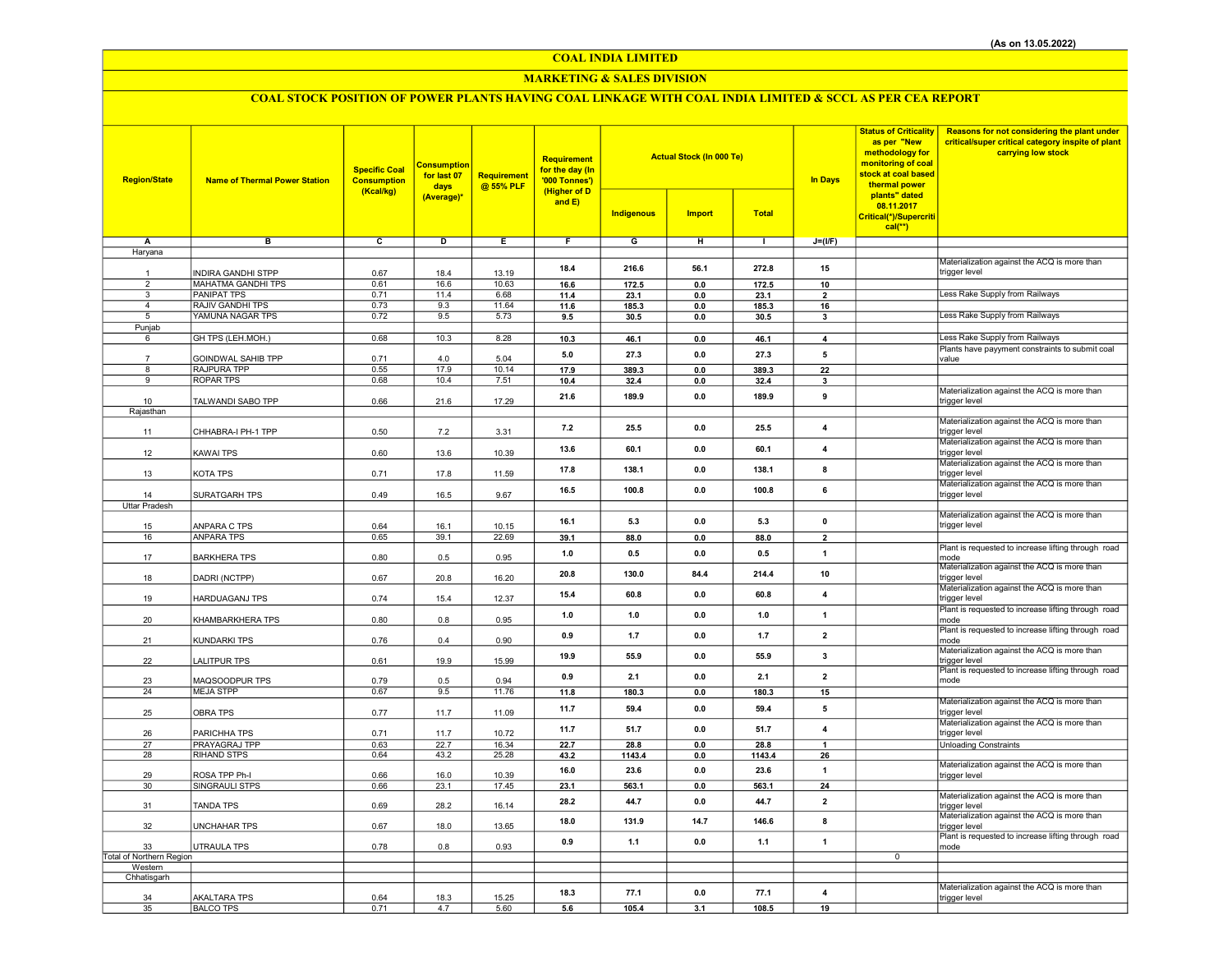## COAL INDIA LIMITED

## MARKETING & SALES DIVISION

# COAL STOCK POSITION OF POWER PLANTS HAVING COAL LINKAGE WITH COAL INDIA LIMITED & SCCL AS PER CEA REPORT

| <b>Region/State</b>      | <b>Name of Thermal Power Station</b> | <b>Specific Coal</b><br><b>Consumption</b><br>(Kcal/kg) | <b>Consumption</b><br>for last 07<br>days<br>(Average)* | <b>Requirement</b><br>@ 55% PLF | <b>Requirement</b><br>for the day (In<br>'000 Tonnes')<br>(Higher of D<br>and $E$ ) |                   | <b>Actual Stock (In 000 Te)</b> |              | <b>Status of Criticality</b><br>as per "New<br>methodology for<br>monitoring of coal<br>stock at coal based<br><b>In Days</b><br>thermal power<br>plants" dated<br>08.11.2017 | Reasons for not considering the plant under<br>critical/super critical category inspite of plant<br>carrying low stock |                                                                      |
|--------------------------|--------------------------------------|---------------------------------------------------------|---------------------------------------------------------|---------------------------------|-------------------------------------------------------------------------------------|-------------------|---------------------------------|--------------|-------------------------------------------------------------------------------------------------------------------------------------------------------------------------------|------------------------------------------------------------------------------------------------------------------------|----------------------------------------------------------------------|
|                          |                                      |                                                         |                                                         |                                 |                                                                                     | <b>Indigenous</b> | <b>Import</b>                   | <b>Total</b> |                                                                                                                                                                               | Critical(*)/Supercriti<br>$cal$ <sup>**</sup> )                                                                        |                                                                      |
| Α                        | в                                    | c                                                       | D                                                       | $\mathbf{E}$                    | F                                                                                   | G                 | н                               | $\mathbf{L}$ | $J=(I/F)$                                                                                                                                                                     |                                                                                                                        |                                                                      |
| Haryana                  |                                      |                                                         |                                                         |                                 |                                                                                     |                   |                                 |              |                                                                                                                                                                               |                                                                                                                        |                                                                      |
| $\overline{1}$           | INDIRA GANDHI STPP                   | 0.67                                                    | 18.4                                                    | 13.19                           | 18.4                                                                                | 216.6             | 56.1                            | 272.8        | 15                                                                                                                                                                            |                                                                                                                        | Materialization against the ACQ is more than<br>trigger level        |
| $\overline{2}$           | <b>MAHATMA GANDHI TPS</b>            | 0.61                                                    | 16.6                                                    | 10.63                           | 16.6                                                                                | 172.5             | 0.0                             | 172.5        | 10                                                                                                                                                                            |                                                                                                                        |                                                                      |
| 3                        | <b>PANIPAT TPS</b>                   | 0.71                                                    | 11.4                                                    | 6.68                            | 11.4                                                                                | 23.1              | 0.0                             | 23.1         | $\overline{\mathbf{2}}$                                                                                                                                                       |                                                                                                                        | Less Rake Supply from Railways                                       |
| 4                        | RAJIV GANDHI TPS                     | 0.73                                                    | 9.3                                                     | 11.64                           | 11.6                                                                                | 185.3             | 0.0                             | 185.3        | 16                                                                                                                                                                            |                                                                                                                        |                                                                      |
| 5                        | YAMUNA NAGAR TPS                     | 0.72                                                    | 9.5                                                     | 5.73                            | 9.5                                                                                 | 30.5              | $\mathbf{0.0}$                  | 30.5         | $\overline{\mathbf{3}}$                                                                                                                                                       |                                                                                                                        | Less Rake Supply from Railways                                       |
| Punjab                   |                                      |                                                         |                                                         |                                 |                                                                                     |                   |                                 |              |                                                                                                                                                                               |                                                                                                                        |                                                                      |
| 6                        | GH TPS (LEH.MOH.)                    | 0.68                                                    | 10.3                                                    | 8.28                            | 10.3                                                                                | 46.1              | 0.0                             | 46.1         | $\overline{\mathbf{4}}$                                                                                                                                                       |                                                                                                                        | Less Rake Supply from Railways                                       |
|                          | <b>GOINDWAL SAHIB TPP</b>            | 0.71                                                    | 4.0                                                     | 5.04                            | 5.0                                                                                 | 27.3              | 0.0                             | 27.3         | 5                                                                                                                                                                             |                                                                                                                        | Plants have payyment constraints to submit coal<br>value             |
| 8                        | <b>RAJPURA TPP</b>                   | 0.55                                                    | 17.9                                                    | 10.14                           | 17.9                                                                                | 389.3             | 0.0                             | 389.3        | 22                                                                                                                                                                            |                                                                                                                        |                                                                      |
| 9                        | ROPAR TPS                            | 0.68                                                    | 10.4                                                    | 7.51                            | 10.4                                                                                | 32.4              | 0.0                             | 32.4         | $\overline{\mathbf{3}}$                                                                                                                                                       |                                                                                                                        |                                                                      |
|                          |                                      |                                                         |                                                         |                                 |                                                                                     |                   |                                 |              |                                                                                                                                                                               |                                                                                                                        | Materialization against the ACQ is more than                         |
| 10                       | TALWANDI SABO TPP                    | 0.66                                                    | 21.6                                                    | 17.29                           | 21.6                                                                                | 189.9             | 0.0                             | 189.9        | 9                                                                                                                                                                             |                                                                                                                        | trigger level                                                        |
| Rajasthan                |                                      |                                                         |                                                         |                                 |                                                                                     |                   |                                 |              |                                                                                                                                                                               |                                                                                                                        |                                                                      |
|                          | CHHABRA-I PH-1 TPP                   | 0.50                                                    | 7.2                                                     | 3.31                            | 7.2                                                                                 | 25.5              | 0.0                             | 25.5         | $\overline{\mathbf{4}}$                                                                                                                                                       |                                                                                                                        | Materialization against the ACQ is more than<br>trigger level        |
| 11                       |                                      |                                                         |                                                         |                                 |                                                                                     |                   |                                 |              |                                                                                                                                                                               |                                                                                                                        | Materialization against the ACQ is more than                         |
| 12                       | <b>KAWAI TPS</b>                     | 0.60                                                    | 13.6                                                    | 10.39                           | 13.6                                                                                | 60.1              | 0.0                             | 60.1         | 4                                                                                                                                                                             |                                                                                                                        | trigger level                                                        |
|                          |                                      |                                                         |                                                         |                                 |                                                                                     |                   |                                 |              |                                                                                                                                                                               |                                                                                                                        | Materialization against the ACQ is more than                         |
| 13                       | KOTA TPS                             | 0.71                                                    | 17.8                                                    | 11.59                           | 17.8                                                                                | 138.1             | 0.0                             | 138.1        | 8                                                                                                                                                                             |                                                                                                                        | trigger level                                                        |
|                          |                                      |                                                         |                                                         |                                 | 16.5                                                                                | 100.8             | 0.0                             | 100.8        | 6                                                                                                                                                                             |                                                                                                                        | Materialization against the ACQ is more than                         |
| 14                       | SURATGARH TPS                        | 0.49                                                    | 16.5                                                    | 9.67                            |                                                                                     |                   |                                 |              |                                                                                                                                                                               |                                                                                                                        | trigger level                                                        |
| <b>Uttar Pradesh</b>     |                                      |                                                         |                                                         |                                 |                                                                                     |                   |                                 |              |                                                                                                                                                                               |                                                                                                                        | Materialization against the ACQ is more than                         |
| 15                       | ANPARA C TPS                         | 0.64                                                    | 16.1                                                    | 10.15                           | 16.1                                                                                | 5.3               | 0.0                             | 5.3          | $\pmb{0}$                                                                                                                                                                     |                                                                                                                        | trigger level                                                        |
| 16                       | <b>ANPARA TPS</b>                    | 0.65                                                    | 39.1                                                    | 22.69                           | 39.1                                                                                | 88.0              | $0.0\,$                         | 88.0         | $\overline{2}$                                                                                                                                                                |                                                                                                                        |                                                                      |
|                          |                                      |                                                         |                                                         |                                 | 1.0                                                                                 | 0.5               | 0.0                             | 0.5          | $\mathbf{1}$                                                                                                                                                                  |                                                                                                                        | Plant is requested to increase lifting through road                  |
| 17                       | <b>BARKHERA TPS</b>                  | 0.80                                                    | 0.5                                                     | 0.95                            |                                                                                     |                   |                                 |              |                                                                                                                                                                               |                                                                                                                        | mode                                                                 |
| 18                       | DADRI (NCTPP)                        | 0.67                                                    | 20.8                                                    | 16.20                           | 20.8                                                                                | 130.0             | 84.4                            | 214.4        | 10                                                                                                                                                                            |                                                                                                                        | Materialization against the ACQ is more than<br>trigger level        |
|                          |                                      |                                                         |                                                         |                                 |                                                                                     |                   |                                 |              |                                                                                                                                                                               |                                                                                                                        | Materialization against the ACQ is more than                         |
| 19                       | HARDUAGANJ TPS                       | 0.74                                                    | 15.4                                                    | 12.37                           | 15.4                                                                                | 60.8              | 0.0                             | 60.8         | $\overline{4}$                                                                                                                                                                |                                                                                                                        | trigger level                                                        |
|                          |                                      |                                                         |                                                         |                                 | 1.0                                                                                 | 1.0               | 0.0                             | 1.0          | $\mathbf{1}$                                                                                                                                                                  |                                                                                                                        | Plant is requested to increase lifting through road                  |
| 20                       | KHAMBARKHERA TPS                     | 0.80                                                    | 0.8                                                     | 0.95                            |                                                                                     |                   |                                 |              |                                                                                                                                                                               |                                                                                                                        | mode                                                                 |
|                          | KUNDARKI TPS                         |                                                         |                                                         | 0.90                            | 0.9                                                                                 | $1.7$             | 0.0                             | 1.7          | $\overline{\mathbf{2}}$                                                                                                                                                       |                                                                                                                        | Plant is requested to increase lifting through road                  |
| 21                       |                                      | 0.76                                                    | 0.4                                                     |                                 |                                                                                     |                   |                                 |              |                                                                                                                                                                               |                                                                                                                        | mode<br>Materialization against the ACQ is more than                 |
| 22                       | <b>LALITPUR TPS</b>                  | 0.61                                                    | 19.9                                                    | 15.99                           | 19.9                                                                                | 55.9              | 0.0                             | 55.9         | $\overline{\mathbf{3}}$                                                                                                                                                       |                                                                                                                        | trigger level                                                        |
|                          |                                      |                                                         |                                                         |                                 | 0.9                                                                                 | 2.1               | 0.0                             | 2.1          | $\overline{2}$                                                                                                                                                                |                                                                                                                        | Plant is requested to increase lifting through road                  |
| 23                       | MAQSOODPUR TPS                       | 0.79                                                    | 0.5                                                     | 0.94                            |                                                                                     |                   |                                 |              |                                                                                                                                                                               |                                                                                                                        | mode                                                                 |
| 24                       | <b>MEJA STPP</b>                     | 0.67                                                    | 9.5                                                     | 11.76                           | 11.8                                                                                | 180.3             | 0.0                             | 180.3        | 15                                                                                                                                                                            |                                                                                                                        | Materialization against the ACQ is more than                         |
| 25                       | <b>OBRA TPS</b>                      | 0.77                                                    | 11.7                                                    | 11.09                           | 11.7                                                                                | 59.4              | 0.0                             | 59.4         | 5                                                                                                                                                                             |                                                                                                                        | trigger level                                                        |
|                          |                                      |                                                         |                                                         |                                 |                                                                                     |                   |                                 |              |                                                                                                                                                                               |                                                                                                                        | Materialization against the ACQ is more than                         |
| 26                       | PARICHHA TPS                         | 0.71                                                    | 11.7                                                    | 10.72                           | 11.7                                                                                | 51.7              | 0.0                             | 51.7         | $\overline{4}$                                                                                                                                                                |                                                                                                                        | trigger level                                                        |
| 27                       | PRAYAGRAJ TPP                        | 0.63                                                    | 22.7                                                    | 16.34                           | 22.7                                                                                | 28.8              | 0.0                             | 28.8         | 1                                                                                                                                                                             |                                                                                                                        | <b>Unloading Constraints</b>                                         |
| 28                       | <b>RIHAND STPS</b>                   | 0.64                                                    | 43.2                                                    | 25.28                           | 43.2                                                                                | 1143.4            | 0.0                             | 1143.4       | 26                                                                                                                                                                            |                                                                                                                        |                                                                      |
| 29                       | ROSA TPP Ph-I                        | 0.66                                                    | 16.0                                                    | 10.39                           | 16.0                                                                                | 23.6              | 0.0                             | 23.6         | $\overline{\mathbf{1}}$                                                                                                                                                       |                                                                                                                        | Materialization against the ACQ is more than<br>trigger level        |
| 30                       | SINGRAULI STPS                       | 0.66                                                    | 23.1                                                    | 17.45                           | 23.1                                                                                | 563.1             | 0.0                             | 563.1        | 24                                                                                                                                                                            |                                                                                                                        |                                                                      |
|                          |                                      |                                                         |                                                         |                                 |                                                                                     |                   |                                 |              |                                                                                                                                                                               |                                                                                                                        | Materialization against the ACQ is more than                         |
| 31                       | <b>TANDA TPS</b>                     | 0.69                                                    | 28.2                                                    | 16.14                           | 28.2                                                                                | 44.7              | 0.0                             | 44.7         | $\overline{2}$                                                                                                                                                                |                                                                                                                        | trigger level                                                        |
|                          |                                      |                                                         |                                                         |                                 | 18.0                                                                                | 131.9             | 14.7                            | 146.6        | 8                                                                                                                                                                             |                                                                                                                        | Materialization against the ACQ is more than                         |
| 32                       | <b>UNCHAHAR TPS</b>                  | 0.67                                                    | 18.0                                                    | 13.65                           |                                                                                     |                   |                                 |              |                                                                                                                                                                               |                                                                                                                        | trigger level<br>Plant is requested to increase lifting through road |
| 33                       | <b>UTRAULA TPS</b>                   | 0.78                                                    | 0.8                                                     | 0.93                            | 0.9                                                                                 | 1.1               | 0.0                             | 1.1          | $\overline{1}$                                                                                                                                                                |                                                                                                                        | mode                                                                 |
| Total of Northern Region |                                      |                                                         |                                                         |                                 |                                                                                     |                   |                                 |              |                                                                                                                                                                               | $\overline{0}$                                                                                                         |                                                                      |
| Western                  |                                      |                                                         |                                                         |                                 |                                                                                     |                   |                                 |              |                                                                                                                                                                               |                                                                                                                        |                                                                      |
| Chhatisgarh              |                                      |                                                         |                                                         |                                 |                                                                                     |                   |                                 |              |                                                                                                                                                                               |                                                                                                                        |                                                                      |
| 34                       | <b>AKALTARA TPS</b>                  | 0.64                                                    | 18.3                                                    | 15.25                           | 18.3                                                                                | 77.1              | 0.0                             | 77.1         | $\overline{4}$                                                                                                                                                                |                                                                                                                        | Materialization against the ACQ is more than<br>trigger level        |
| 35                       | <b>BALCO TPS</b>                     | 0.71                                                    | 4.7                                                     | 5.60                            | 5.6                                                                                 | 105.4             | 3.1                             | 108.5        | 19                                                                                                                                                                            |                                                                                                                        |                                                                      |
|                          |                                      |                                                         |                                                         |                                 |                                                                                     |                   |                                 |              |                                                                                                                                                                               |                                                                                                                        |                                                                      |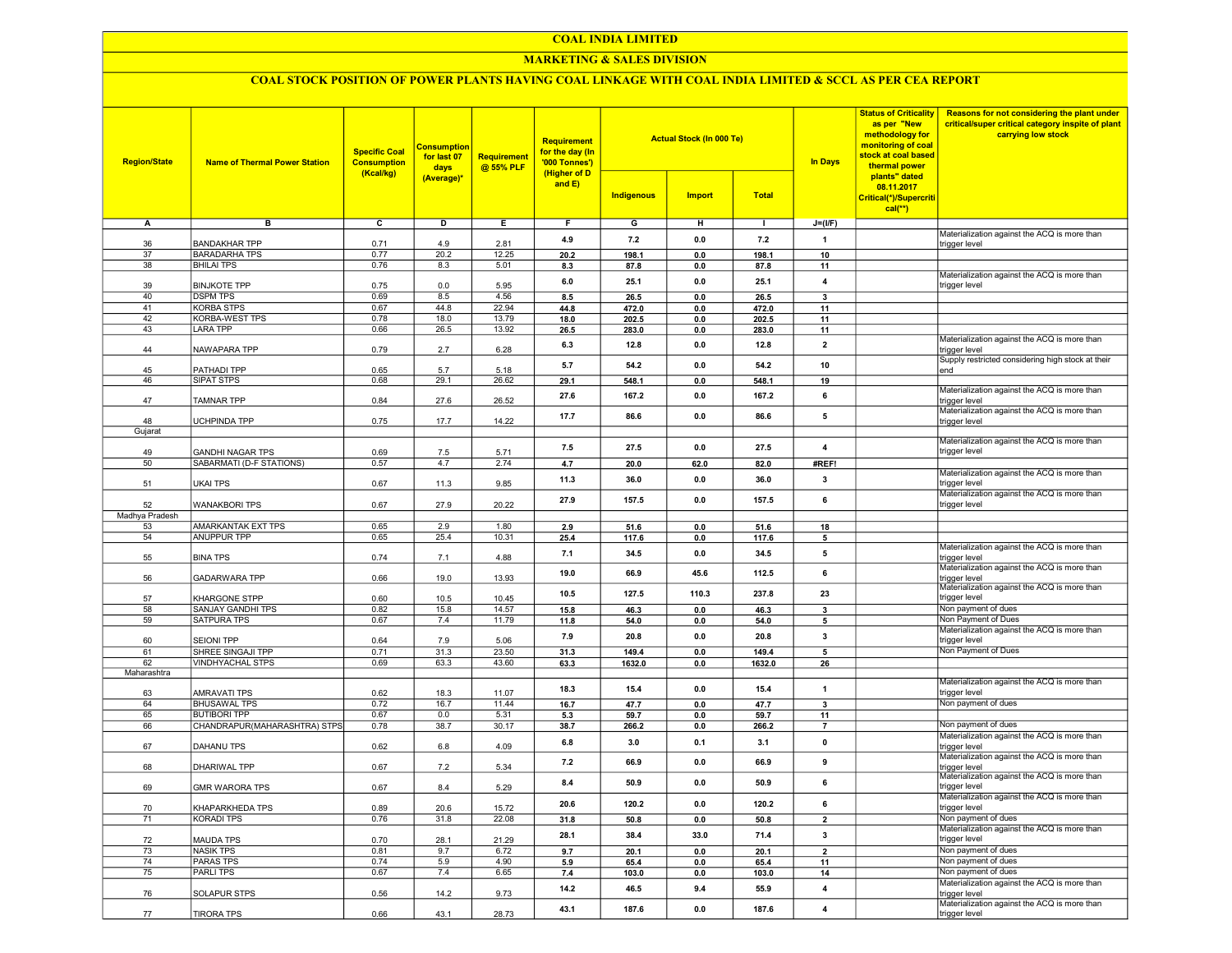#### COAL INDIA LIMITED

## MARKETING & SALES DIVISION

## COAL STOCK POSITION OF POWER PLANTS HAVING COAL LINKAGE WITH COAL INDIA LIMITED & SCCL AS PER CEA REPORT

| <b>Region/State</b> | <b>Name of Thermal Power Station</b>            | <b>Specific Coal</b><br><b>Consumption</b><br>(Kcal/kg) | <b>Consumption</b><br>for last 07<br>days<br>(Average)* | <b>Requirement</b><br>@ 55% PLF | <b>Requirement</b><br>for the day (In<br>'000 Tonnes')<br>(Higher of D<br>and E) | <b>Indigenous</b> | <b>Actual Stock (In 000 Te)</b><br><b>Import</b> | <b>Total</b> | <b>In Days</b>          | <b>Status of Criticality</b><br>as per "New<br>methodology for<br>monitoring of coal<br>stock at coal based<br>thermal power<br>plants" dated<br>08.11.2017<br>Critical(*)/Supercriti<br>$cal$ <sup>**</sup> ) | Reasons for not considering the plant under<br>critical/super critical category inspite of plant<br>carrying low stock |
|---------------------|-------------------------------------------------|---------------------------------------------------------|---------------------------------------------------------|---------------------------------|----------------------------------------------------------------------------------|-------------------|--------------------------------------------------|--------------|-------------------------|----------------------------------------------------------------------------------------------------------------------------------------------------------------------------------------------------------------|------------------------------------------------------------------------------------------------------------------------|
| А                   | в                                               | $\overline{c}$                                          | D                                                       | Е.                              | F.                                                                               | G                 | н                                                | л.           | $J=(I/F)$               |                                                                                                                                                                                                                |                                                                                                                        |
|                     |                                                 |                                                         |                                                         |                                 |                                                                                  |                   |                                                  |              |                         |                                                                                                                                                                                                                | Materialization against the ACQ is more than                                                                           |
| 36                  | <b>BANDAKHAR TPP</b>                            | 0.71                                                    | 4.9                                                     | 2.81                            | 4.9                                                                              | 7.2               | 0.0                                              | 7.2          | $\mathbf{1}$            |                                                                                                                                                                                                                | trigger level                                                                                                          |
| 37                  | <b>BARADARHA TPS</b>                            | 0.77                                                    | 20.2                                                    | 12.25                           | 20.2                                                                             | 198.1             | 0.0                                              | 198.1        | 10                      |                                                                                                                                                                                                                |                                                                                                                        |
| 38                  | <b>BHILAI TPS</b>                               | 0.76                                                    | 8.3                                                     | 5.01                            | 8.3                                                                              | 87.8              | 0.0                                              | 87.8         | 11                      |                                                                                                                                                                                                                | Materialization against the ACQ is more than                                                                           |
| 39                  | <b>BINJKOTE TPP</b>                             | 0.75                                                    | 0.0                                                     | 5.95                            | 6.0                                                                              | 25.1              | 0.0                                              | 25.1         | $\overline{4}$          |                                                                                                                                                                                                                | trigger level                                                                                                          |
| 40                  | <b>DSPM TPS</b>                                 | 0.69                                                    | 8.5                                                     | 4.56                            | 8.5                                                                              | 26.5              | 0.0                                              | 26.5         | 3                       |                                                                                                                                                                                                                |                                                                                                                        |
| 41                  | <b>KORBA STPS</b>                               | 0.67                                                    | 44.8                                                    | 22.94                           | 44.8                                                                             | 472.0             | 0.0                                              | 472.0        | 11                      |                                                                                                                                                                                                                |                                                                                                                        |
| 42                  | KORBA-WEST TPS                                  | 0.78                                                    | 18.0                                                    | 13.79                           | 18.0                                                                             | 202.5             | 0.0                                              | 202.5        | 11                      |                                                                                                                                                                                                                |                                                                                                                        |
| 43                  | <b>LARA TPP</b>                                 | 0.66                                                    | 26.5                                                    | 13.92                           | 26.5                                                                             | 283.0             | 0.0                                              | 283.0        | 11                      |                                                                                                                                                                                                                |                                                                                                                        |
|                     |                                                 |                                                         |                                                         |                                 | 6.3                                                                              | 12.8              | 0.0                                              | 12.8         | $\overline{2}$          |                                                                                                                                                                                                                | Materialization against the ACQ is more than                                                                           |
| 44                  | NAWAPARA TPP                                    | 0.79                                                    | 2.7                                                     | 6.28                            |                                                                                  |                   |                                                  |              |                         |                                                                                                                                                                                                                | trigger level                                                                                                          |
| 45                  | PATHADI TPP                                     | 0.65                                                    | 5.7                                                     | 5.18                            | 5.7                                                                              | 54.2              | 0.0                                              | 54.2         | 10                      |                                                                                                                                                                                                                | Supply restricted considering high stock at their<br>end                                                               |
| 46                  | SIPAT STPS                                      | 0.68                                                    | 29.1                                                    | 26.62                           | 29.1                                                                             | 548.1             | 0.0                                              | 548.1        | 19                      |                                                                                                                                                                                                                |                                                                                                                        |
|                     |                                                 |                                                         |                                                         |                                 |                                                                                  |                   |                                                  |              |                         |                                                                                                                                                                                                                | Materialization against the ACQ is more than                                                                           |
| 47                  | TAMNAR TPP                                      | 0.84                                                    | 27.6                                                    | 26.52                           | 27.6                                                                             | 167.2             | 0.0                                              | 167.2        | 6                       |                                                                                                                                                                                                                | trigger level                                                                                                          |
|                     |                                                 |                                                         |                                                         |                                 | 17.7                                                                             | 86.6              | 0.0                                              | 86.6         | 5                       |                                                                                                                                                                                                                | Materialization against the ACQ is more than                                                                           |
| 48                  | UCHPINDA TPP                                    | 0.75                                                    | 17.7                                                    | 14.22                           |                                                                                  |                   |                                                  |              |                         |                                                                                                                                                                                                                | trigger level                                                                                                          |
| Gujarat             |                                                 |                                                         |                                                         |                                 |                                                                                  |                   |                                                  |              |                         |                                                                                                                                                                                                                | Materialization against the ACQ is more than                                                                           |
| 49                  | <b>GANDHI NAGAR TPS</b>                         | 0.69                                                    | 7.5                                                     | 5.71                            | 7.5                                                                              | 27.5              | 0.0                                              | 27.5         | 4                       |                                                                                                                                                                                                                | trigger level                                                                                                          |
| 50                  | SABARMATI (D-F STATIONS)                        | 0.57                                                    | 4.7                                                     | 2.74                            | 4.7                                                                              | 20.0              | 62.0                                             | 82.0         | #REF!                   |                                                                                                                                                                                                                |                                                                                                                        |
|                     |                                                 |                                                         |                                                         |                                 |                                                                                  |                   |                                                  |              |                         |                                                                                                                                                                                                                | Materialization against the ACQ is more than                                                                           |
| 51                  | <b>UKAI TPS</b>                                 | 0.67                                                    | 11.3                                                    | 9.85                            | 11.3                                                                             | 36.0              | 0.0                                              | 36.0         | 3                       |                                                                                                                                                                                                                | trigger level                                                                                                          |
|                     |                                                 |                                                         |                                                         |                                 | 27.9                                                                             | 157.5             | 0.0                                              | 157.5        | 6                       |                                                                                                                                                                                                                | Materialization against the ACQ is more than                                                                           |
| 52                  | <b>WANAKBORI TPS</b>                            | 0.67                                                    | 27.9                                                    | 20.22                           |                                                                                  |                   |                                                  |              |                         |                                                                                                                                                                                                                | trigger level                                                                                                          |
| Madhya Pradesh      |                                                 |                                                         |                                                         |                                 |                                                                                  |                   |                                                  |              |                         |                                                                                                                                                                                                                |                                                                                                                        |
| 53<br>54            | <b>AMARKANTAK EXT TPS</b><br><b>ANUPPUR TPP</b> | 0.65<br>0.65                                            | 2.9<br>25.4                                             | 1.80<br>10.31                   | 2.9                                                                              | 51.6              | 0.0                                              | 51.6         | 18                      |                                                                                                                                                                                                                |                                                                                                                        |
|                     |                                                 |                                                         |                                                         |                                 | 25.4                                                                             | 117.6             | 0.0                                              | 117.6        | 5                       |                                                                                                                                                                                                                | Materialization against the ACQ is more than                                                                           |
| 55                  | <b>BINA TPS</b>                                 | 0.74                                                    | 7.1                                                     | 4.88                            | 7.1                                                                              | 34.5              | 0.0                                              | 34.5         | 5                       |                                                                                                                                                                                                                | trigger level                                                                                                          |
|                     |                                                 |                                                         |                                                         |                                 | 19.0                                                                             | 66.9              | 45.6                                             | 112.5        | 6                       |                                                                                                                                                                                                                | Materialization against the ACQ is more than                                                                           |
| 56                  | <b>GADARWARA TPP</b>                            | 0.66                                                    | 19.0                                                    | 13.93                           |                                                                                  |                   |                                                  |              |                         |                                                                                                                                                                                                                | trigger level                                                                                                          |
|                     |                                                 |                                                         |                                                         |                                 | 10.5                                                                             | 127.5             | 110.3                                            | 237.8        | 23                      |                                                                                                                                                                                                                | Materialization against the ACQ is more than                                                                           |
| 57<br>58            | KHARGONE STPP<br>SANJAY GANDHI TPS              | 0.60<br>0.82                                            | 10.5<br>15.8                                            | 10.45<br>14.57                  |                                                                                  |                   |                                                  |              |                         |                                                                                                                                                                                                                | trigger level<br>Non payment of dues                                                                                   |
| 59                  | SATPURA TPS                                     | 0.67                                                    | 7.4                                                     | 11.79                           | 15.8<br>11.8                                                                     | 46.3<br>54.0      | 0.0<br>0.0                                       | 46.3<br>54.0 | 3<br>5                  |                                                                                                                                                                                                                | Non Payment of Dues                                                                                                    |
|                     |                                                 |                                                         |                                                         |                                 |                                                                                  |                   |                                                  |              |                         |                                                                                                                                                                                                                | Materialization against the ACQ is more than                                                                           |
| 60                  | <b>SEIONI TPP</b>                               | 0.64                                                    | 7.9                                                     | 5.06                            | 7.9                                                                              | 20.8              | 0.0                                              | 20.8         | 3                       |                                                                                                                                                                                                                | trigger level                                                                                                          |
| 61                  | SHREE SINGAJI TPP                               | 0.71                                                    | 31.3                                                    | 23.50                           | 31.3                                                                             | 149.4             | 0.0                                              | 149.4        | 5                       |                                                                                                                                                                                                                | Non Payment of Dues                                                                                                    |
| 62                  | <b>VINDHYACHAL STPS</b>                         | 0.69                                                    | 63.3                                                    | 43.60                           | 63.3                                                                             | 1632.0            | 0.0                                              | 1632.0       | 26                      |                                                                                                                                                                                                                |                                                                                                                        |
| Maharashtra         |                                                 |                                                         |                                                         |                                 |                                                                                  |                   |                                                  |              |                         |                                                                                                                                                                                                                |                                                                                                                        |
|                     |                                                 |                                                         |                                                         |                                 | 18.3                                                                             | 15.4              | 0.0                                              | 15.4         | $\overline{1}$          |                                                                                                                                                                                                                | Materialization against the ACQ is more than                                                                           |
| 63                  | <b>AMRAVATI TPS</b>                             | 0.62                                                    | 18.3                                                    | 11.07                           |                                                                                  |                   |                                                  |              |                         |                                                                                                                                                                                                                | trigger level<br>Non payment of dues                                                                                   |
| 64<br>65            | <b>BHUSAWAL TPS</b><br><b>BUTIBORI TPP</b>      | 0.72<br>0.67                                            | 16.7<br>0.0                                             | 11.44<br>5.31                   | 16.7                                                                             | 47.7<br>59.7      | 0.0<br>0.0                                       | 47.7<br>59.7 | $\mathbf{3}$            |                                                                                                                                                                                                                |                                                                                                                        |
| 66                  | CHANDRAPUR(MAHARASHTRA) STPS                    | 0.78                                                    | 38.7                                                    | 30.17                           | 5.3<br>38.7                                                                      | 266.2             | 0.0                                              | 266.2        | 11<br>$\overline{7}$    |                                                                                                                                                                                                                | Non payment of dues                                                                                                    |
|                     |                                                 |                                                         |                                                         |                                 |                                                                                  |                   |                                                  |              |                         |                                                                                                                                                                                                                | Materialization against the ACQ is more than                                                                           |
| 67                  | DAHANU TPS                                      | 0.62                                                    | 6.8                                                     | 4.09                            | 6.8                                                                              | 3.0               | 0.1                                              | 3.1          | $\mathbf 0$             |                                                                                                                                                                                                                | trigger level                                                                                                          |
|                     |                                                 |                                                         |                                                         |                                 | 7.2                                                                              | 66.9              | 0.0                                              | 66.9         | 9                       |                                                                                                                                                                                                                | Materialization against the ACQ is more than                                                                           |
| 68                  | DHARIWAL TPP                                    | 0.67                                                    | 7.2                                                     | 5.34                            |                                                                                  |                   |                                                  |              |                         |                                                                                                                                                                                                                | trigger level<br>Materialization against the ACQ is more than                                                          |
| 69                  | <b>GMR WARORA TPS</b>                           | 0.67                                                    | 8.4                                                     | 5.29                            | 8.4                                                                              | 50.9              | 0.0                                              | 50.9         | 6                       |                                                                                                                                                                                                                | trigger level                                                                                                          |
|                     |                                                 |                                                         |                                                         |                                 |                                                                                  |                   |                                                  |              |                         |                                                                                                                                                                                                                | Materialization against the ACQ is more than                                                                           |
| 70                  | KHAPARKHEDA TPS                                 | 0.89                                                    | 20.6                                                    | 15.72                           | 20.6                                                                             | 120.2             | $\mathbf{0.0}$                                   | 120.2        | 6                       |                                                                                                                                                                                                                | trigger level                                                                                                          |
| 71                  | KORADI TPS                                      | 0.76                                                    | 31.8                                                    | 22.08                           | 31.8                                                                             | 50.8              | $\mathbf{0.0}$                                   | 50.8         | $\overline{\mathbf{2}}$ |                                                                                                                                                                                                                | Non payment of dues                                                                                                    |
|                     |                                                 |                                                         |                                                         |                                 |                                                                                  |                   | 33.0                                             | 71.4         | $\overline{\mathbf{3}}$ |                                                                                                                                                                                                                | Materialization against the ACQ is more than                                                                           |
| 72                  | <b>MAUDA TPS</b>                                | 0.70                                                    | 28.1                                                    | 21.29                           | 28.1                                                                             | 38.4              |                                                  |              |                         |                                                                                                                                                                                                                | trigger level                                                                                                          |
| 73                  | <b>NASIK TPS</b>                                | 0.81                                                    | 9.7                                                     | 6.72                            | 9.7                                                                              | 20.1              | 0.0                                              | 20.1         | $\overline{2}$          |                                                                                                                                                                                                                | Non payment of dues                                                                                                    |
| 74                  | <b>PARAS TPS</b>                                | 0.74                                                    | 5.9                                                     | 4.90                            | 5.9                                                                              | 65.4              | 0.0                                              | 65.4         | 11                      |                                                                                                                                                                                                                | Non payment of dues                                                                                                    |
| 75                  | <b>PARLITPS</b>                                 | 0.67                                                    | 7.4                                                     | 6.65                            | 7.4                                                                              | 103.0             | 0.0                                              | 103.0        | 14                      |                                                                                                                                                                                                                | Non payment of dues                                                                                                    |
|                     |                                                 |                                                         |                                                         |                                 | 14.2                                                                             | 46.5              | 9.4                                              | 55.9         | $\overline{\mathbf{4}}$ |                                                                                                                                                                                                                | Materialization against the ACQ is more than                                                                           |
| 76                  | SOLAPUR STPS                                    | 0.56                                                    | 14.2                                                    | 9.73                            |                                                                                  |                   |                                                  |              |                         |                                                                                                                                                                                                                | trigger level<br>Materialization against the ACQ is more than                                                          |
| 77                  | <b>TIRORA TPS</b>                               | 0.66                                                    | 43.1                                                    | 28.73                           | 43.1                                                                             | 187.6             | 0.0                                              | 187.6        | $\overline{\mathbf{4}}$ |                                                                                                                                                                                                                | trigger level                                                                                                          |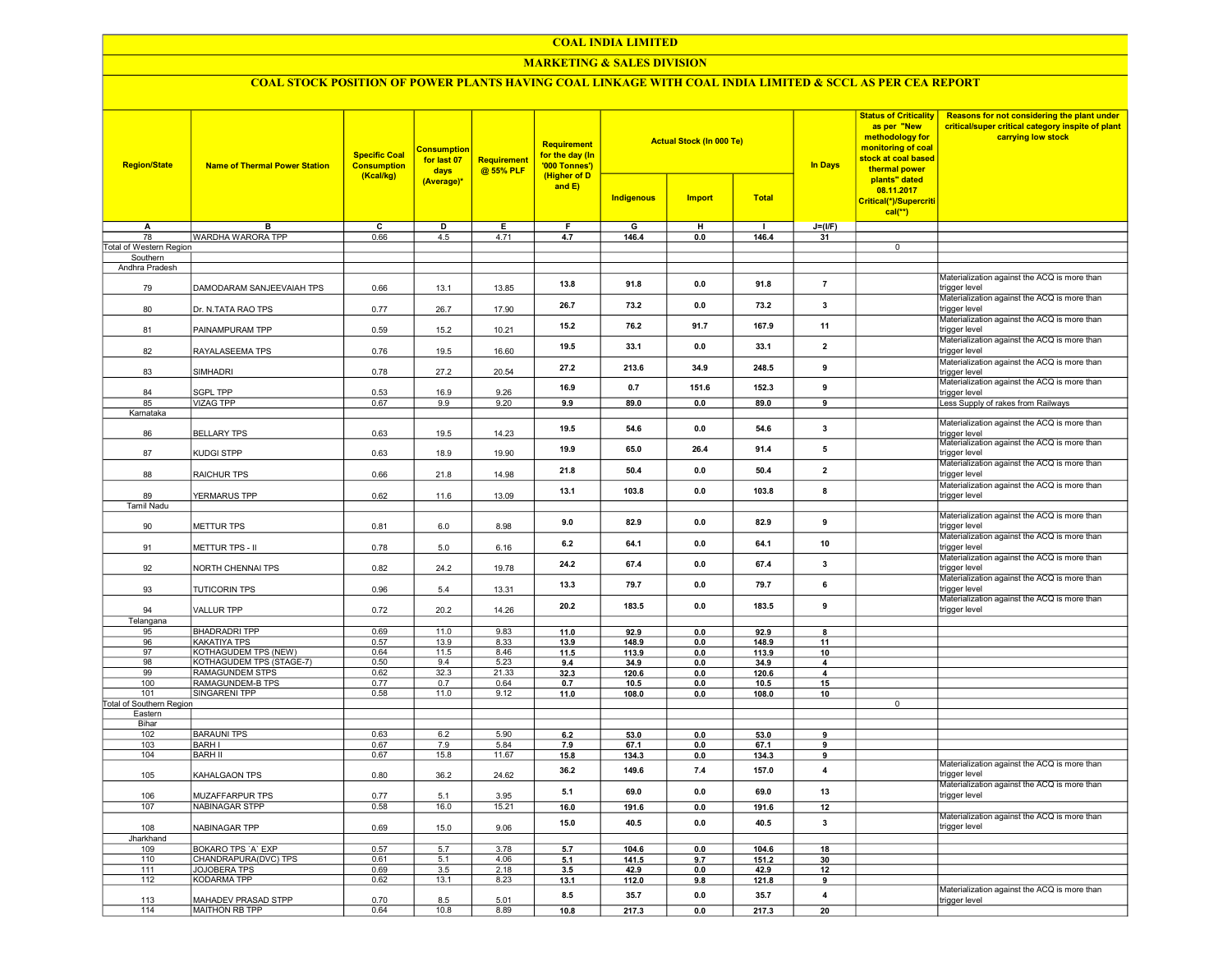#### COAL INDIA LIMITED

## MARKETING & SALES DIVISION

# COAL STOCK POSITION OF POWER PLANTS HAVING COAL LINKAGE WITH COAL INDIA LIMITED & SCCL AS PER CEA REPORT

| <b>Region/State</b>        | <b>Name of Thermal Power Station</b>       | <b>Specific Coal</b><br><b>Consumption</b><br>(Kcal/kg) | <b>Consumption</b><br>for last 07<br>days | Requirement<br>@ 55% PLF | Requirement<br>for the day (In<br>'000 Tonnes')<br>(Higher of D |                   | <b>Actual Stock (In 000 Te)</b> |                | <b>Status of Criticality</b><br>as per "New<br>methodology for<br>monitoring of coal<br>stock at coal based<br><b>In Days</b><br>thermal power<br>plants" dated | Reasons for not considering the plant under<br>critical/super critical category inspite of plant<br>carrying low stock |                                                                                                               |
|----------------------------|--------------------------------------------|---------------------------------------------------------|-------------------------------------------|--------------------------|-----------------------------------------------------------------|-------------------|---------------------------------|----------------|-----------------------------------------------------------------------------------------------------------------------------------------------------------------|------------------------------------------------------------------------------------------------------------------------|---------------------------------------------------------------------------------------------------------------|
|                            |                                            |                                                         | (Average)*                                |                          | and $E$ )                                                       | <b>Indigenous</b> | <b>Import</b>                   | <b>Total</b>   |                                                                                                                                                                 | 08.11.2017<br>Critical(*)/Supercriti<br>$cal(**)$                                                                      |                                                                                                               |
| A                          | в                                          | с                                                       | D                                         | Е                        | F.                                                              | G                 | н                               | $\blacksquare$ | $J=(I/F)$                                                                                                                                                       |                                                                                                                        |                                                                                                               |
| 78                         | WARDHA WARORA TPP                          | 0.66                                                    | 4.5                                       | 4.71                     | 4.7                                                             | 146.4             | 0.0                             | 146.4          | 31                                                                                                                                                              |                                                                                                                        |                                                                                                               |
| Total of Western Region    |                                            |                                                         |                                           |                          |                                                                 |                   |                                 |                |                                                                                                                                                                 | $\overline{0}$                                                                                                         |                                                                                                               |
| Southern<br>Andhra Pradesh |                                            |                                                         |                                           |                          |                                                                 |                   |                                 |                |                                                                                                                                                                 |                                                                                                                        |                                                                                                               |
| 79                         | DAMODARAM SANJEEVAIAH TPS                  | 0.66                                                    | 13.1                                      | 13.85                    | 13.8                                                            | 91.8              | 0.0                             | 91.8           | $\overline{7}$                                                                                                                                                  |                                                                                                                        | Materialization against the ACQ is more than<br>trigger level                                                 |
| 80                         | Dr. N.TATA RAO TPS                         | 0.77                                                    | 26.7                                      | 17.90                    | 26.7                                                            | 73.2              | 0.0                             | 73.2           | 3                                                                                                                                                               |                                                                                                                        | Materialization against the ACQ is more than<br>trigger level                                                 |
| 81                         | PAINAMPURAM TPP                            | 0.59                                                    | 15.2                                      | 10.21                    | 15.2                                                            | 76.2              | 91.7                            | 167.9          | 11                                                                                                                                                              |                                                                                                                        | Materialization against the ACQ is more than<br>trigger level                                                 |
| 82                         | RAYALASEEMA TPS                            | 0.76                                                    | 19.5                                      | 16.60                    | 19.5                                                            | 33.1              | 0.0                             | 33.1           | $\mathbf{2}$                                                                                                                                                    |                                                                                                                        | Materialization against the ACQ is more than<br>trigger level                                                 |
| 83                         | SIMHADRI                                   | 0.78                                                    | 27.2                                      | 20.54                    | 27.2                                                            | 213.6             | 34.9                            | 248.5          | 9                                                                                                                                                               |                                                                                                                        | Materialization against the ACQ is more than<br>trigger level<br>Materialization against the ACQ is more than |
| 84                         | <b>SGPL TPP</b>                            | 0.53                                                    | 16.9                                      | 9.26                     | 16.9                                                            | 0.7               | 151.6                           | 152.3          | 9                                                                                                                                                               |                                                                                                                        | trigger level                                                                                                 |
| 85                         | <b>VIZAG TPP</b>                           | 0.67                                                    | 9.9                                       | 9.20                     | 9.9                                                             | 89.0              | 0.0                             | 89.0           | 9                                                                                                                                                               |                                                                                                                        | Less Supply of rakes from Railways                                                                            |
| Karnataka<br>86            | <b>BELLARY TPS</b>                         | 0.63                                                    | 19.5                                      | 14.23                    | 19.5                                                            | 54.6              | 0.0                             | 54.6           | 3                                                                                                                                                               |                                                                                                                        | Materialization against the ACQ is more than                                                                  |
| 87                         | KUDGI STPP                                 | 0.63                                                    | 18.9                                      | 19.90                    | 19.9                                                            | 65.0              | 26.4                            | 91.4           | 5                                                                                                                                                               |                                                                                                                        | rigger level<br>Materialization against the ACQ is more than<br>trigger level                                 |
| 88                         | RAICHUR TPS                                | 0.66                                                    | 21.8                                      | 14.98                    | 21.8                                                            | 50.4              | 0.0                             | 50.4           | $\mathbf{2}$                                                                                                                                                    |                                                                                                                        | Materialization against the ACQ is more than<br>trigger level                                                 |
| 89                         | YERMARUS TPP                               | 0.62                                                    | 11.6                                      | 13.09                    | 13.1                                                            | 103.8             | 0.0                             | 103.8          | 8                                                                                                                                                               |                                                                                                                        | Materialization against the ACQ is more than<br>trigger level                                                 |
| <b>Tamil Nadu</b>          |                                            |                                                         |                                           |                          |                                                                 |                   |                                 |                |                                                                                                                                                                 |                                                                                                                        |                                                                                                               |
| 90                         | METTUR TPS                                 | 0.81                                                    | 6.0                                       | 8.98                     | 9.0                                                             | 82.9              | 0.0                             | 82.9           | 9                                                                                                                                                               |                                                                                                                        | Materialization against the ACQ is more than<br>trigger level                                                 |
| 91                         | METTUR TPS - II                            | 0.78                                                    | 5.0                                       | 6.16                     | 6.2                                                             | 64.1              | 0.0                             | 64.1           | 10                                                                                                                                                              |                                                                                                                        | Materialization against the ACQ is more than<br>trigger level<br>Materialization against the ACQ is more than |
| 92                         | NORTH CHENNAI TPS                          | 0.82                                                    | 24.2                                      | 19.78                    | 24.2                                                            | 67.4              | 0.0                             | 67.4           | 3                                                                                                                                                               |                                                                                                                        | trigger level<br>Materialization against the ACQ is more than                                                 |
| 93                         | <b>TUTICORIN TPS</b>                       | 0.96                                                    | 5.4                                       | 13.31                    | 13.3                                                            | 79.7              | 0.0                             | 79.7           | 6                                                                                                                                                               |                                                                                                                        | trigger level<br>Materialization against the ACQ is more than                                                 |
| 94<br>Telangana            | <b>VALLUR TPP</b>                          | 0.72                                                    | 20.2                                      | 14.26                    | 20.2                                                            | 183.5             | 0.0                             | 183.5          | 9                                                                                                                                                               |                                                                                                                        | trigger level                                                                                                 |
| 95                         | <b>BHADRADRI TPP</b>                       | 0.69                                                    | 11.0                                      | 9.83                     | 11.0                                                            | 92.9              | 0.0                             | 92.9           | 8                                                                                                                                                               |                                                                                                                        |                                                                                                               |
| 96                         | KAKATIYA TPS                               | 0.57                                                    | 13.9                                      | 8.33                     | 13.9                                                            | 148.9             | 0.0                             | 148.9          | 11                                                                                                                                                              |                                                                                                                        |                                                                                                               |
| 97                         | KOTHAGUDEM TPS (NEW)                       | 0.64                                                    | 11.5                                      | 8.46                     | 11.5                                                            | 113.9             | 0.0                             | 113.9          | 10                                                                                                                                                              |                                                                                                                        |                                                                                                               |
| 98                         | KOTHAGUDEM TPS (STAGE-7)                   | 0.50                                                    | 9.4                                       | 5.23                     | 9.4                                                             | 34.9              | 0.0                             | 34.9           | 4                                                                                                                                                               |                                                                                                                        |                                                                                                               |
| 99<br>100                  | <b>RAMAGUNDEM STPS</b><br>RAMAGUNDEM-B TPS | 0.62<br>0.77                                            | 32.3<br>0.7                               | 21.33<br>0.64            | 32.3<br>0.7                                                     | 120.6<br>10.5     | 0.0<br>0.0                      | 120.6<br>10.5  | 4<br>15                                                                                                                                                         |                                                                                                                        |                                                                                                               |
| 101                        | <b>SINGARENI TPP</b>                       | 0.58                                                    | 11.0                                      | 9.12                     | 11.0                                                            | 108.0             | 0.0                             | 108.0          | 10                                                                                                                                                              |                                                                                                                        |                                                                                                               |
| Total of Southern Region   |                                            |                                                         |                                           |                          |                                                                 |                   |                                 |                |                                                                                                                                                                 | $\overline{0}$                                                                                                         |                                                                                                               |
| Eastern                    |                                            |                                                         |                                           |                          |                                                                 |                   |                                 |                |                                                                                                                                                                 |                                                                                                                        |                                                                                                               |
| Bihar<br>102               | <b>BARAUNI TPS</b>                         | 0.63                                                    | 6.2                                       | 5.90                     | 6.2                                                             | 53.0              | 0.0                             | 53.0           | 9                                                                                                                                                               |                                                                                                                        |                                                                                                               |
| 103                        | <b>BARH I</b>                              | 0.67                                                    | 7.9                                       | 5.84                     | 7.9                                                             | 67.1              | 0.0                             | 67.1           | 9                                                                                                                                                               |                                                                                                                        |                                                                                                               |
| 104                        | <b>BARH II</b>                             | 0.67                                                    | 15.8                                      | 11.67                    | 15.8                                                            | 134.3             | 0.0                             | 134.3          | 9                                                                                                                                                               |                                                                                                                        |                                                                                                               |
| 105                        | KAHALGAON TPS                              | 0.80                                                    | 36.2                                      | 24.62                    | 36.2                                                            | 149.6             | 7.4                             | 157.0          | $\overline{4}$                                                                                                                                                  |                                                                                                                        | Materialization against the ACQ is more than<br>trigger level                                                 |
| 106                        | MUZAFFARPUR TPS                            | 0.77                                                    | 5.1                                       | 3.95                     | 5.1                                                             | 69.0              | 0.0                             | 69.0           | 13                                                                                                                                                              |                                                                                                                        | Materialization against the ACQ is more than<br>trigger level                                                 |
| 107                        | <b>NABINAGAR STPP</b>                      | 0.58                                                    | 16.0                                      | 15.21                    | 16.0                                                            | 191.6             | 0.0                             | 191.6          | 12                                                                                                                                                              |                                                                                                                        | Materialization against the ACQ is more than                                                                  |
| 108                        | NABINAGAR TPP                              | 0.69                                                    | 15.0                                      | 9.06                     | 15.0                                                            | 40.5              | 0.0                             | 40.5           | $\mathbf{3}$                                                                                                                                                    |                                                                                                                        | trigger level                                                                                                 |
| Jharkhand<br>109           | <b>BOKARO TPS 'A' EXP</b>                  | 0.57                                                    | 5.7                                       | 3.78                     | 5.7                                                             | 104.6             | 0.0                             | 104.6          | 18                                                                                                                                                              |                                                                                                                        |                                                                                                               |
| 110                        | CHANDRAPURA(DVC) TPS                       | 0.61                                                    | 5.1                                       | 4.06                     | 5.1                                                             | 141.5             | 9.7                             | 151.2          | 30                                                                                                                                                              |                                                                                                                        |                                                                                                               |
| 111                        | JOJOBERA TPS                               | 0.69                                                    | 3.5                                       | 2.18                     | 3.5                                                             | 42.9              | 0.0                             | 42.9           | 12                                                                                                                                                              |                                                                                                                        |                                                                                                               |
| 112                        | <b>KODARMA TPP</b>                         | 0.62                                                    | 13.1                                      | 8.23                     | 13.1                                                            | 112.0             | 9.8                             | 121.8          | 9                                                                                                                                                               |                                                                                                                        |                                                                                                               |
| 113                        | MAHADEV PRASAD STPP                        | 0.70                                                    | 8.5                                       | 5.01                     | 8.5                                                             | 35.7              | 0.0                             | 35.7           | $\blacktriangle$                                                                                                                                                |                                                                                                                        | Materialization against the ACQ is more than<br>trigger level                                                 |
| 114                        | MAITHON RB TPP                             | 0.64                                                    | 10.8                                      | 8.89                     | 10.8                                                            | 217.3             | 0.0                             | 217.3          | 20                                                                                                                                                              |                                                                                                                        |                                                                                                               |